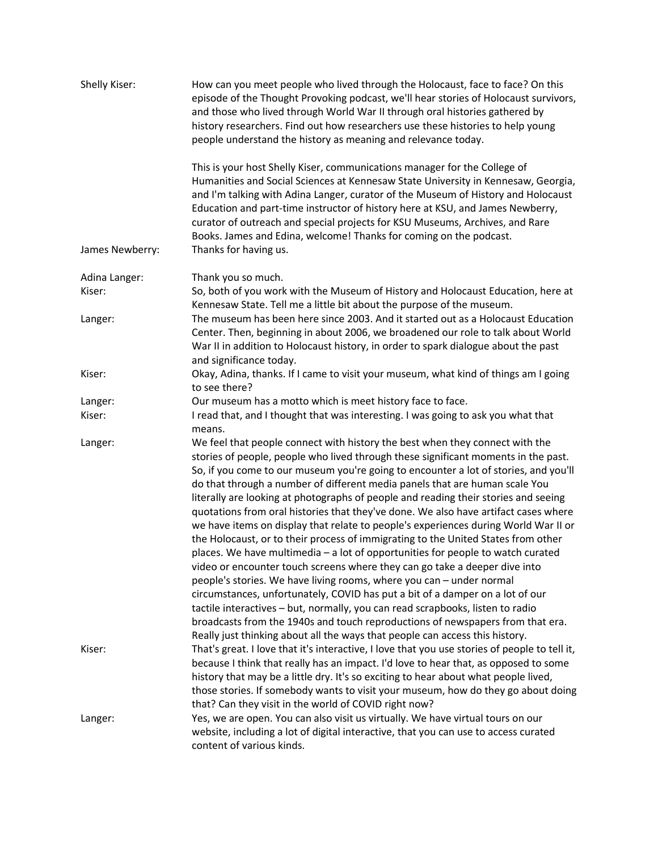| Shelly Kiser:           | How can you meet people who lived through the Holocaust, face to face? On this<br>episode of the Thought Provoking podcast, we'll hear stories of Holocaust survivors,<br>and those who lived through World War II through oral histories gathered by<br>history researchers. Find out how researchers use these histories to help young<br>people understand the history as meaning and relevance today.                                                                                                                                                                                                                                                                                                                                                                                                                                                                                                                                                                                                                                                                                                                                                                                                                                                                                                                                                                          |
|-------------------------|------------------------------------------------------------------------------------------------------------------------------------------------------------------------------------------------------------------------------------------------------------------------------------------------------------------------------------------------------------------------------------------------------------------------------------------------------------------------------------------------------------------------------------------------------------------------------------------------------------------------------------------------------------------------------------------------------------------------------------------------------------------------------------------------------------------------------------------------------------------------------------------------------------------------------------------------------------------------------------------------------------------------------------------------------------------------------------------------------------------------------------------------------------------------------------------------------------------------------------------------------------------------------------------------------------------------------------------------------------------------------------|
| James Newberry:         | This is your host Shelly Kiser, communications manager for the College of<br>Humanities and Social Sciences at Kennesaw State University in Kennesaw, Georgia,<br>and I'm talking with Adina Langer, curator of the Museum of History and Holocaust<br>Education and part-time instructor of history here at KSU, and James Newberry,<br>curator of outreach and special projects for KSU Museums, Archives, and Rare<br>Books. James and Edina, welcome! Thanks for coming on the podcast.<br>Thanks for having us.                                                                                                                                                                                                                                                                                                                                                                                                                                                                                                                                                                                                                                                                                                                                                                                                                                                               |
|                         |                                                                                                                                                                                                                                                                                                                                                                                                                                                                                                                                                                                                                                                                                                                                                                                                                                                                                                                                                                                                                                                                                                                                                                                                                                                                                                                                                                                    |
| Adina Langer:<br>Kiser: | Thank you so much.<br>So, both of you work with the Museum of History and Holocaust Education, here at                                                                                                                                                                                                                                                                                                                                                                                                                                                                                                                                                                                                                                                                                                                                                                                                                                                                                                                                                                                                                                                                                                                                                                                                                                                                             |
|                         | Kennesaw State. Tell me a little bit about the purpose of the museum.                                                                                                                                                                                                                                                                                                                                                                                                                                                                                                                                                                                                                                                                                                                                                                                                                                                                                                                                                                                                                                                                                                                                                                                                                                                                                                              |
| Langer:                 | The museum has been here since 2003. And it started out as a Holocaust Education<br>Center. Then, beginning in about 2006, we broadened our role to talk about World<br>War II in addition to Holocaust history, in order to spark dialogue about the past<br>and significance today.                                                                                                                                                                                                                                                                                                                                                                                                                                                                                                                                                                                                                                                                                                                                                                                                                                                                                                                                                                                                                                                                                              |
| Kiser:                  | Okay, Adina, thanks. If I came to visit your museum, what kind of things am I going<br>to see there?                                                                                                                                                                                                                                                                                                                                                                                                                                                                                                                                                                                                                                                                                                                                                                                                                                                                                                                                                                                                                                                                                                                                                                                                                                                                               |
| Langer:                 | Our museum has a motto which is meet history face to face.                                                                                                                                                                                                                                                                                                                                                                                                                                                                                                                                                                                                                                                                                                                                                                                                                                                                                                                                                                                                                                                                                                                                                                                                                                                                                                                         |
| Kiser:                  | I read that, and I thought that was interesting. I was going to ask you what that<br>means.                                                                                                                                                                                                                                                                                                                                                                                                                                                                                                                                                                                                                                                                                                                                                                                                                                                                                                                                                                                                                                                                                                                                                                                                                                                                                        |
| Langer:<br>Kiser:       | We feel that people connect with history the best when they connect with the<br>stories of people, people who lived through these significant moments in the past.<br>So, if you come to our museum you're going to encounter a lot of stories, and you'll<br>do that through a number of different media panels that are human scale You<br>literally are looking at photographs of people and reading their stories and seeing<br>quotations from oral histories that they've done. We also have artifact cases where<br>we have items on display that relate to people's experiences during World War II or<br>the Holocaust, or to their process of immigrating to the United States from other<br>places. We have multimedia - a lot of opportunities for people to watch curated<br>video or encounter touch screens where they can go take a deeper dive into<br>people's stories. We have living rooms, where you can - under normal<br>circumstances, unfortunately, COVID has put a bit of a damper on a lot of our<br>tactile interactives - but, normally, you can read scrapbooks, listen to radio<br>broadcasts from the 1940s and touch reproductions of newspapers from that era.<br>Really just thinking about all the ways that people can access this history.<br>That's great. I love that it's interactive, I love that you use stories of people to tell it, |
|                         | because I think that really has an impact. I'd love to hear that, as opposed to some<br>history that may be a little dry. It's so exciting to hear about what people lived,<br>those stories. If somebody wants to visit your museum, how do they go about doing<br>that? Can they visit in the world of COVID right now?                                                                                                                                                                                                                                                                                                                                                                                                                                                                                                                                                                                                                                                                                                                                                                                                                                                                                                                                                                                                                                                          |
| Langer:                 | Yes, we are open. You can also visit us virtually. We have virtual tours on our<br>website, including a lot of digital interactive, that you can use to access curated<br>content of various kinds.                                                                                                                                                                                                                                                                                                                                                                                                                                                                                                                                                                                                                                                                                                                                                                                                                                                                                                                                                                                                                                                                                                                                                                                |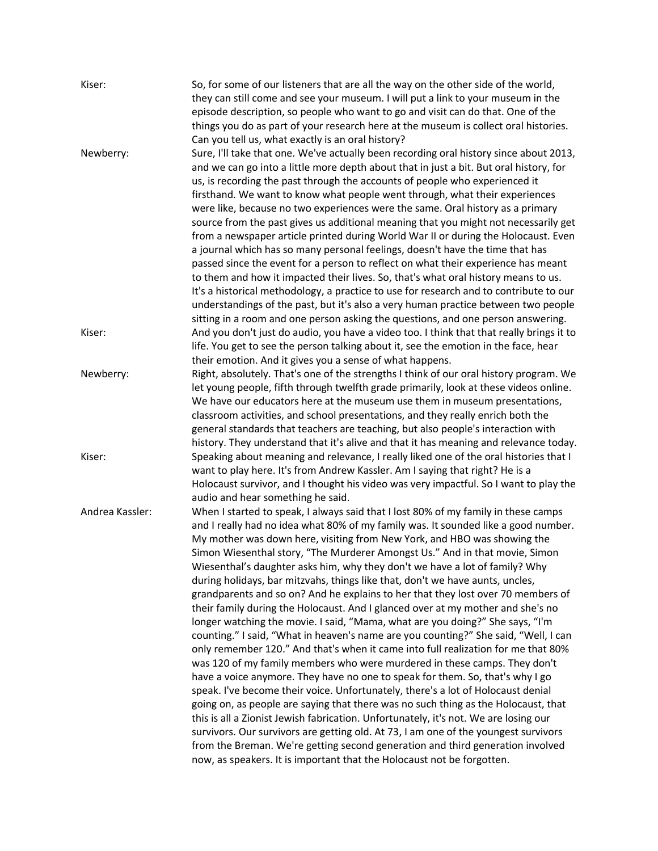| Kiser:          | So, for some of our listeners that are all the way on the other side of the world,<br>they can still come and see your museum. I will put a link to your museum in the<br>episode description, so people who want to go and visit can do that. One of the<br>things you do as part of your research here at the museum is collect oral histories.<br>Can you tell us, what exactly is an oral history?                                                                                                                                                                                                                                                                                                                                                                                                                                                                                                                                                                                                                                                                                                                                                                                                                                                                                                                                                                                                                                                                                                                                                                                                                     |
|-----------------|----------------------------------------------------------------------------------------------------------------------------------------------------------------------------------------------------------------------------------------------------------------------------------------------------------------------------------------------------------------------------------------------------------------------------------------------------------------------------------------------------------------------------------------------------------------------------------------------------------------------------------------------------------------------------------------------------------------------------------------------------------------------------------------------------------------------------------------------------------------------------------------------------------------------------------------------------------------------------------------------------------------------------------------------------------------------------------------------------------------------------------------------------------------------------------------------------------------------------------------------------------------------------------------------------------------------------------------------------------------------------------------------------------------------------------------------------------------------------------------------------------------------------------------------------------------------------------------------------------------------------|
| Newberry:       | Sure, I'll take that one. We've actually been recording oral history since about 2013,<br>and we can go into a little more depth about that in just a bit. But oral history, for<br>us, is recording the past through the accounts of people who experienced it<br>firsthand. We want to know what people went through, what their experiences<br>were like, because no two experiences were the same. Oral history as a primary<br>source from the past gives us additional meaning that you might not necessarily get<br>from a newspaper article printed during World War II or during the Holocaust. Even<br>a journal which has so many personal feelings, doesn't have the time that has<br>passed since the event for a person to reflect on what their experience has meant<br>to them and how it impacted their lives. So, that's what oral history means to us.<br>It's a historical methodology, a practice to use for research and to contribute to our<br>understandings of the past, but it's also a very human practice between two people<br>sitting in a room and one person asking the questions, and one person answering.                                                                                                                                                                                                                                                                                                                                                                                                                                                                              |
| Kiser:          | And you don't just do audio, you have a video too. I think that that really brings it to<br>life. You get to see the person talking about it, see the emotion in the face, hear<br>their emotion. And it gives you a sense of what happens.                                                                                                                                                                                                                                                                                                                                                                                                                                                                                                                                                                                                                                                                                                                                                                                                                                                                                                                                                                                                                                                                                                                                                                                                                                                                                                                                                                                |
| Newberry:       | Right, absolutely. That's one of the strengths I think of our oral history program. We<br>let young people, fifth through twelfth grade primarily, look at these videos online.<br>We have our educators here at the museum use them in museum presentations,<br>classroom activities, and school presentations, and they really enrich both the<br>general standards that teachers are teaching, but also people's interaction with<br>history. They understand that it's alive and that it has meaning and relevance today.                                                                                                                                                                                                                                                                                                                                                                                                                                                                                                                                                                                                                                                                                                                                                                                                                                                                                                                                                                                                                                                                                              |
| Kiser:          | Speaking about meaning and relevance, I really liked one of the oral histories that I<br>want to play here. It's from Andrew Kassler. Am I saying that right? He is a<br>Holocaust survivor, and I thought his video was very impactful. So I want to play the<br>audio and hear something he said.                                                                                                                                                                                                                                                                                                                                                                                                                                                                                                                                                                                                                                                                                                                                                                                                                                                                                                                                                                                                                                                                                                                                                                                                                                                                                                                        |
| Andrea Kassler: | When I started to speak, I always said that I lost 80% of my family in these camps<br>and I really had no idea what 80% of my family was. It sounded like a good number.<br>My mother was down here, visiting from New York, and HBO was showing the<br>Simon Wiesenthal story, "The Murderer Amongst Us." And in that movie, Simon<br>Wiesenthal's daughter asks him, why they don't we have a lot of family? Why<br>during holidays, bar mitzvahs, things like that, don't we have aunts, uncles,<br>grandparents and so on? And he explains to her that they lost over 70 members of<br>their family during the Holocaust. And I glanced over at my mother and she's no<br>longer watching the movie. I said, "Mama, what are you doing?" She says, "I'm<br>counting." I said, "What in heaven's name are you counting?" She said, "Well, I can<br>only remember 120." And that's when it came into full realization for me that 80%<br>was 120 of my family members who were murdered in these camps. They don't<br>have a voice anymore. They have no one to speak for them. So, that's why I go<br>speak. I've become their voice. Unfortunately, there's a lot of Holocaust denial<br>going on, as people are saying that there was no such thing as the Holocaust, that<br>this is all a Zionist Jewish fabrication. Unfortunately, it's not. We are losing our<br>survivors. Our survivors are getting old. At 73, I am one of the youngest survivors<br>from the Breman. We're getting second generation and third generation involved<br>now, as speakers. It is important that the Holocaust not be forgotten. |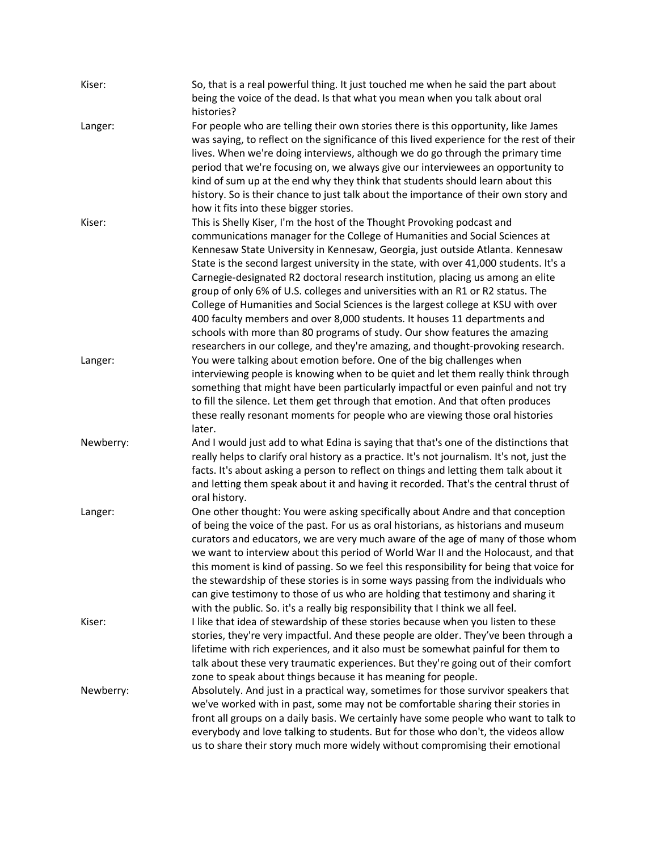| Kiser:    | So, that is a real powerful thing. It just touched me when he said the part about<br>being the voice of the dead. Is that what you mean when you talk about oral<br>histories?                                                                                                                                                                                                                                                                                                                                                                                                                                                                                                                                                                                                                                                               |
|-----------|----------------------------------------------------------------------------------------------------------------------------------------------------------------------------------------------------------------------------------------------------------------------------------------------------------------------------------------------------------------------------------------------------------------------------------------------------------------------------------------------------------------------------------------------------------------------------------------------------------------------------------------------------------------------------------------------------------------------------------------------------------------------------------------------------------------------------------------------|
| Langer:   | For people who are telling their own stories there is this opportunity, like James<br>was saying, to reflect on the significance of this lived experience for the rest of their<br>lives. When we're doing interviews, although we do go through the primary time<br>period that we're focusing on, we always give our interviewees an opportunity to<br>kind of sum up at the end why they think that students should learn about this<br>history. So is their chance to just talk about the importance of their own story and<br>how it fits into these bigger stories.                                                                                                                                                                                                                                                                    |
| Kiser:    | This is Shelly Kiser, I'm the host of the Thought Provoking podcast and<br>communications manager for the College of Humanities and Social Sciences at<br>Kennesaw State University in Kennesaw, Georgia, just outside Atlanta. Kennesaw<br>State is the second largest university in the state, with over 41,000 students. It's a<br>Carnegie-designated R2 doctoral research institution, placing us among an elite<br>group of only 6% of U.S. colleges and universities with an R1 or R2 status. The<br>College of Humanities and Social Sciences is the largest college at KSU with over<br>400 faculty members and over 8,000 students. It houses 11 departments and<br>schools with more than 80 programs of study. Our show features the amazing<br>researchers in our college, and they're amazing, and thought-provoking research. |
| Langer:   | You were talking about emotion before. One of the big challenges when<br>interviewing people is knowing when to be quiet and let them really think through<br>something that might have been particularly impactful or even painful and not try<br>to fill the silence. Let them get through that emotion. And that often produces<br>these really resonant moments for people who are viewing those oral histories<br>later.                                                                                                                                                                                                                                                                                                                                                                                                                |
| Newberry: | And I would just add to what Edina is saying that that's one of the distinctions that<br>really helps to clarify oral history as a practice. It's not journalism. It's not, just the<br>facts. It's about asking a person to reflect on things and letting them talk about it<br>and letting them speak about it and having it recorded. That's the central thrust of<br>oral history.                                                                                                                                                                                                                                                                                                                                                                                                                                                       |
| Langer:   | One other thought: You were asking specifically about Andre and that conception<br>of being the voice of the past. For us as oral historians, as historians and museum<br>curators and educators, we are very much aware of the age of many of those whom<br>we want to interview about this period of World War II and the Holocaust, and that<br>this moment is kind of passing. So we feel this responsibility for being that voice for<br>the stewardship of these stories is in some ways passing from the individuals who<br>can give testimony to those of us who are holding that testimony and sharing it<br>with the public. So. it's a really big responsibility that I think we all feel.                                                                                                                                        |
| Kiser:    | I like that idea of stewardship of these stories because when you listen to these<br>stories, they're very impactful. And these people are older. They've been through a<br>lifetime with rich experiences, and it also must be somewhat painful for them to<br>talk about these very traumatic experiences. But they're going out of their comfort<br>zone to speak about things because it has meaning for people.                                                                                                                                                                                                                                                                                                                                                                                                                         |
| Newberry: | Absolutely. And just in a practical way, sometimes for those survivor speakers that<br>we've worked with in past, some may not be comfortable sharing their stories in<br>front all groups on a daily basis. We certainly have some people who want to talk to<br>everybody and love talking to students. But for those who don't, the videos allow<br>us to share their story much more widely without compromising their emotional                                                                                                                                                                                                                                                                                                                                                                                                         |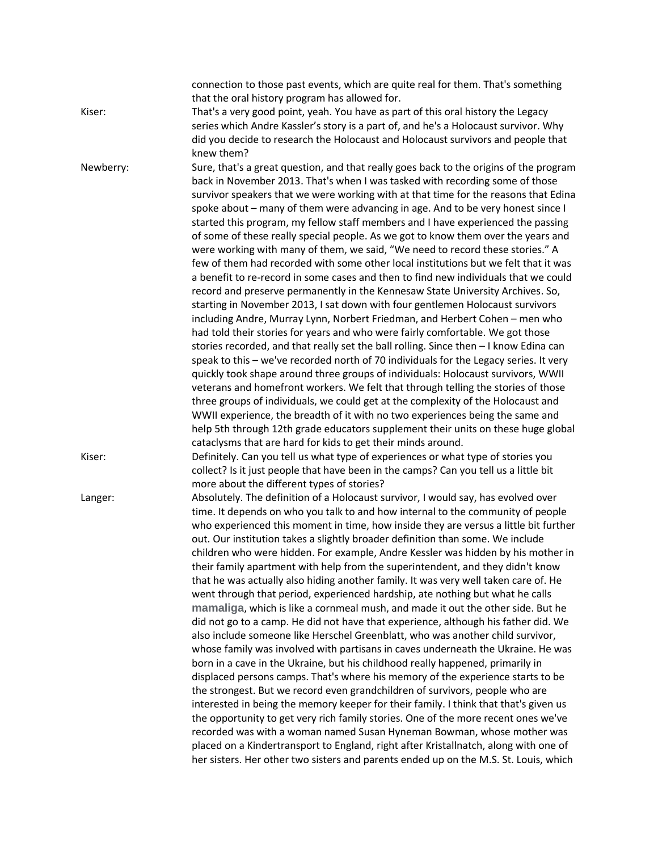|           | connection to those past events, which are quite real for them. That's something<br>that the oral history program has allowed for.                                       |
|-----------|--------------------------------------------------------------------------------------------------------------------------------------------------------------------------|
| Kiser:    | That's a very good point, yeah. You have as part of this oral history the Legacy                                                                                         |
|           | series which Andre Kassler's story is a part of, and he's a Holocaust survivor. Why                                                                                      |
|           | did you decide to research the Holocaust and Holocaust survivors and people that                                                                                         |
|           | knew them?                                                                                                                                                               |
| Newberry: | Sure, that's a great question, and that really goes back to the origins of the program                                                                                   |
|           | back in November 2013. That's when I was tasked with recording some of those                                                                                             |
|           | survivor speakers that we were working with at that time for the reasons that Edina                                                                                      |
|           | spoke about - many of them were advancing in age. And to be very honest since I                                                                                          |
|           | started this program, my fellow staff members and I have experienced the passing                                                                                         |
|           | of some of these really special people. As we got to know them over the years and                                                                                        |
|           | were working with many of them, we said, "We need to record these stories." A                                                                                            |
|           | few of them had recorded with some other local institutions but we felt that it was                                                                                      |
|           | a benefit to re-record in some cases and then to find new individuals that we could                                                                                      |
|           | record and preserve permanently in the Kennesaw State University Archives. So,                                                                                           |
|           | starting in November 2013, I sat down with four gentlemen Holocaust survivors                                                                                            |
|           | including Andre, Murray Lynn, Norbert Friedman, and Herbert Cohen - men who                                                                                              |
|           | had told their stories for years and who were fairly comfortable. We got those                                                                                           |
|           | stories recorded, and that really set the ball rolling. Since then - I know Edina can                                                                                    |
|           | speak to this - we've recorded north of 70 individuals for the Legacy series. It very                                                                                    |
|           | quickly took shape around three groups of individuals: Holocaust survivors, WWII                                                                                         |
|           | veterans and homefront workers. We felt that through telling the stories of those                                                                                        |
|           | three groups of individuals, we could get at the complexity of the Holocaust and                                                                                         |
|           | WWII experience, the breadth of it with no two experiences being the same and                                                                                            |
|           | help 5th through 12th grade educators supplement their units on these huge global                                                                                        |
|           | cataclysms that are hard for kids to get their minds around.                                                                                                             |
| Kiser:    | Definitely. Can you tell us what type of experiences or what type of stories you<br>collect? Is it just people that have been in the camps? Can you tell us a little bit |
|           | more about the different types of stories?                                                                                                                               |
| Langer:   | Absolutely. The definition of a Holocaust survivor, I would say, has evolved over                                                                                        |
|           | time. It depends on who you talk to and how internal to the community of people                                                                                          |
|           | who experienced this moment in time, how inside they are versus a little bit further                                                                                     |
|           | out. Our institution takes a slightly broader definition than some. We include                                                                                           |
|           | children who were hidden. For example, Andre Kessler was hidden by his mother in                                                                                         |
|           | their family apartment with help from the superintendent, and they didn't know                                                                                           |
|           | that he was actually also hiding another family. It was very well taken care of. He                                                                                      |
|           | went through that period, experienced hardship, ate nothing but what he calls                                                                                            |
|           | mamaliga, which is like a cornmeal mush, and made it out the other side. But he                                                                                          |
|           | did not go to a camp. He did not have that experience, although his father did. We                                                                                       |
|           | also include someone like Herschel Greenblatt, who was another child survivor,                                                                                           |
|           | whose family was involved with partisans in caves underneath the Ukraine. He was                                                                                         |
|           | born in a cave in the Ukraine, but his childhood really happened, primarily in                                                                                           |
|           | displaced persons camps. That's where his memory of the experience starts to be                                                                                          |
|           | the strongest. But we record even grandchildren of survivors, people who are                                                                                             |
|           | interested in being the memory keeper for their family. I think that that's given us                                                                                     |
|           | the opportunity to get very rich family stories. One of the more recent ones we've                                                                                       |
|           | recorded was with a woman named Susan Hyneman Bowman, whose mother was                                                                                                   |
|           | placed on a Kindertransport to England, right after Kristallnatch, along with one of                                                                                     |
|           | her sisters. Her other two sisters and parents ended up on the M.S. St. Louis, which                                                                                     |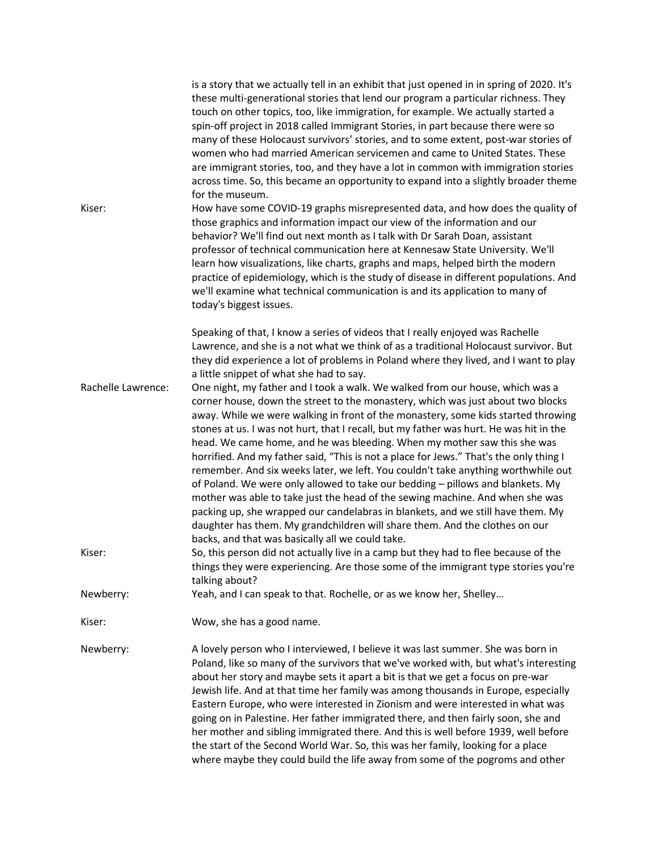| Kiser:             | is a story that we actually tell in an exhibit that just opened in in spring of 2020. It's<br>these multi-generational stories that lend our program a particular richness. They<br>touch on other topics, too, like immigration, for example. We actually started a<br>spin-off project in 2018 called Immigrant Stories, in part because there were so<br>many of these Holocaust survivors' stories, and to some extent, post-war stories of<br>women who had married American servicemen and came to United States. These<br>are immigrant stories, too, and they have a lot in common with immigration stories<br>across time. So, this became an opportunity to expand into a slightly broader theme<br>for the museum.<br>How have some COVID-19 graphs misrepresented data, and how does the quality of<br>those graphics and information impact our view of the information and our<br>behavior? We'll find out next month as I talk with Dr Sarah Doan, assistant<br>professor of technical communication here at Kennesaw State University. We'll<br>learn how visualizations, like charts, graphs and maps, helped birth the modern<br>practice of epidemiology, which is the study of disease in different populations. And |
|--------------------|------------------------------------------------------------------------------------------------------------------------------------------------------------------------------------------------------------------------------------------------------------------------------------------------------------------------------------------------------------------------------------------------------------------------------------------------------------------------------------------------------------------------------------------------------------------------------------------------------------------------------------------------------------------------------------------------------------------------------------------------------------------------------------------------------------------------------------------------------------------------------------------------------------------------------------------------------------------------------------------------------------------------------------------------------------------------------------------------------------------------------------------------------------------------------------------------------------------------------------------|
|                    | we'll examine what technical communication is and its application to many of<br>today's biggest issues.                                                                                                                                                                                                                                                                                                                                                                                                                                                                                                                                                                                                                                                                                                                                                                                                                                                                                                                                                                                                                                                                                                                                  |
|                    | Speaking of that, I know a series of videos that I really enjoyed was Rachelle<br>Lawrence, and she is a not what we think of as a traditional Holocaust survivor. But<br>they did experience a lot of problems in Poland where they lived, and I want to play<br>a little snippet of what she had to say.                                                                                                                                                                                                                                                                                                                                                                                                                                                                                                                                                                                                                                                                                                                                                                                                                                                                                                                               |
| Rachelle Lawrence: | One night, my father and I took a walk. We walked from our house, which was a<br>corner house, down the street to the monastery, which was just about two blocks<br>away. While we were walking in front of the monastery, some kids started throwing<br>stones at us. I was not hurt, that I recall, but my father was hurt. He was hit in the<br>head. We came home, and he was bleeding. When my mother saw this she was<br>horrified. And my father said, "This is not a place for Jews." That's the only thing I<br>remember. And six weeks later, we left. You couldn't take anything worthwhile out<br>of Poland. We were only allowed to take our bedding - pillows and blankets. My<br>mother was able to take just the head of the sewing machine. And when she was<br>packing up, she wrapped our candelabras in blankets, and we still have them. My<br>daughter has them. My grandchildren will share them. And the clothes on our<br>backs, and that was basically all we could take.                                                                                                                                                                                                                                      |
| Kiser:             | So, this person did not actually live in a camp but they had to flee because of the<br>things they were experiencing. Are those some of the immigrant type stories you're<br>talking about?                                                                                                                                                                                                                                                                                                                                                                                                                                                                                                                                                                                                                                                                                                                                                                                                                                                                                                                                                                                                                                              |
| Newberry:          | Yeah, and I can speak to that. Rochelle, or as we know her, Shelley                                                                                                                                                                                                                                                                                                                                                                                                                                                                                                                                                                                                                                                                                                                                                                                                                                                                                                                                                                                                                                                                                                                                                                      |
| Kiser:             | Wow, she has a good name.                                                                                                                                                                                                                                                                                                                                                                                                                                                                                                                                                                                                                                                                                                                                                                                                                                                                                                                                                                                                                                                                                                                                                                                                                |
| Newberry:          | A lovely person who I interviewed, I believe it was last summer. She was born in<br>Poland, like so many of the survivors that we've worked with, but what's interesting<br>about her story and maybe sets it apart a bit is that we get a focus on pre-war<br>Jewish life. And at that time her family was among thousands in Europe, especially<br>Eastern Europe, who were interested in Zionism and were interested in what was<br>going on in Palestine. Her father immigrated there, and then fairly soon, she and<br>her mother and sibling immigrated there. And this is well before 1939, well before<br>the start of the Second World War. So, this was her family, looking for a place<br>where maybe they could build the life away from some of the pogroms and other                                                                                                                                                                                                                                                                                                                                                                                                                                                       |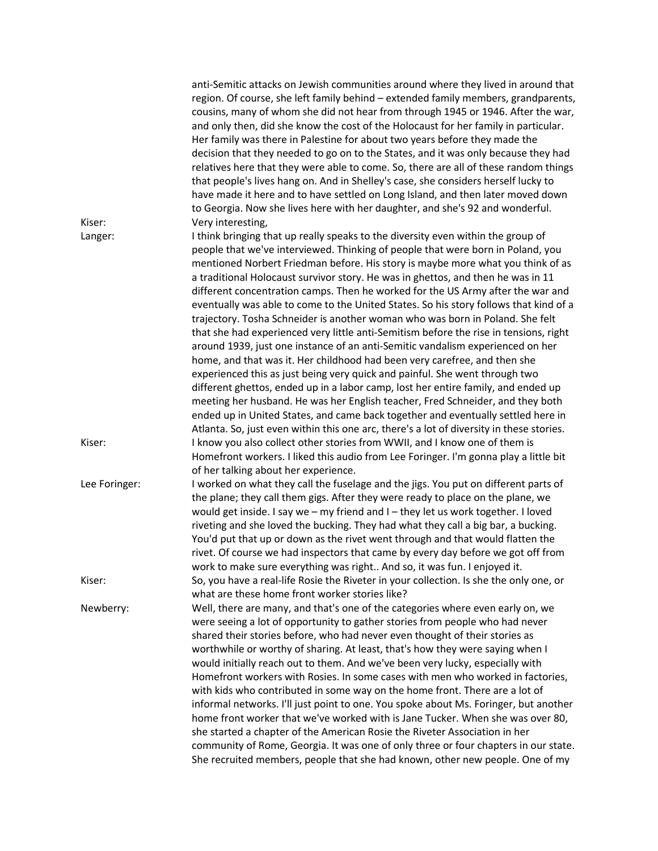|               | anti-Semitic attacks on Jewish communities around where they lived in around that<br>region. Of course, she left family behind - extended family members, grandparents,<br>cousins, many of whom she did not hear from through 1945 or 1946. After the war,<br>and only then, did she know the cost of the Holocaust for her family in particular.<br>Her family was there in Palestine for about two years before they made the<br>decision that they needed to go on to the States, and it was only because they had<br>relatives here that they were able to come. So, there are all of these random things<br>that people's lives hang on. And in Shelley's case, she considers herself lucky to<br>have made it here and to have settled on Long Island, and then later moved down<br>to Georgia. Now she lives here with her daughter, and she's 92 and wonderful.                                                                                                                                                                                                                                                                                                                                  |
|---------------|-----------------------------------------------------------------------------------------------------------------------------------------------------------------------------------------------------------------------------------------------------------------------------------------------------------------------------------------------------------------------------------------------------------------------------------------------------------------------------------------------------------------------------------------------------------------------------------------------------------------------------------------------------------------------------------------------------------------------------------------------------------------------------------------------------------------------------------------------------------------------------------------------------------------------------------------------------------------------------------------------------------------------------------------------------------------------------------------------------------------------------------------------------------------------------------------------------------|
| Kiser:        | Very interesting,                                                                                                                                                                                                                                                                                                                                                                                                                                                                                                                                                                                                                                                                                                                                                                                                                                                                                                                                                                                                                                                                                                                                                                                         |
| Langer:       | I think bringing that up really speaks to the diversity even within the group of<br>people that we've interviewed. Thinking of people that were born in Poland, you<br>mentioned Norbert Friedman before. His story is maybe more what you think of as<br>a traditional Holocaust survivor story. He was in ghettos, and then he was in 11<br>different concentration camps. Then he worked for the US Army after the war and<br>eventually was able to come to the United States. So his story follows that kind of a<br>trajectory. Tosha Schneider is another woman who was born in Poland. She felt<br>that she had experienced very little anti-Semitism before the rise in tensions, right<br>around 1939, just one instance of an anti-Semitic vandalism experienced on her<br>home, and that was it. Her childhood had been very carefree, and then she<br>experienced this as just being very quick and painful. She went through two<br>different ghettos, ended up in a labor camp, lost her entire family, and ended up<br>meeting her husband. He was her English teacher, Fred Schneider, and they both<br>ended up in United States, and came back together and eventually settled here in |
| Kiser:        | Atlanta. So, just even within this one arc, there's a lot of diversity in these stories.<br>I know you also collect other stories from WWII, and I know one of them is                                                                                                                                                                                                                                                                                                                                                                                                                                                                                                                                                                                                                                                                                                                                                                                                                                                                                                                                                                                                                                    |
|               | Homefront workers. I liked this audio from Lee Foringer. I'm gonna play a little bit<br>of her talking about her experience.                                                                                                                                                                                                                                                                                                                                                                                                                                                                                                                                                                                                                                                                                                                                                                                                                                                                                                                                                                                                                                                                              |
| Lee Foringer: | I worked on what they call the fuselage and the jigs. You put on different parts of<br>the plane; they call them gigs. After they were ready to place on the plane, we<br>would get inside. I say we - my friend and I - they let us work together. I loved<br>riveting and she loved the bucking. They had what they call a big bar, a bucking.<br>You'd put that up or down as the rivet went through and that would flatten the<br>rivet. Of course we had inspectors that came by every day before we got off from<br>work to make sure everything was right And so, it was fun. I enjoyed it.                                                                                                                                                                                                                                                                                                                                                                                                                                                                                                                                                                                                        |
| Kiser:        | So, you have a real-life Rosie the Riveter in your collection. Is she the only one, or<br>what are these home front worker stories like?                                                                                                                                                                                                                                                                                                                                                                                                                                                                                                                                                                                                                                                                                                                                                                                                                                                                                                                                                                                                                                                                  |
| Newberry:     | Well, there are many, and that's one of the categories where even early on, we<br>were seeing a lot of opportunity to gather stories from people who had never<br>shared their stories before, who had never even thought of their stories as<br>worthwhile or worthy of sharing. At least, that's how they were saying when I<br>would initially reach out to them. And we've been very lucky, especially with<br>Homefront workers with Rosies. In some cases with men who worked in factories,<br>with kids who contributed in some way on the home front. There are a lot of<br>informal networks. I'll just point to one. You spoke about Ms. Foringer, but another<br>home front worker that we've worked with is Jane Tucker. When she was over 80,<br>she started a chapter of the American Rosie the Riveter Association in her<br>community of Rome, Georgia. It was one of only three or four chapters in our state.<br>She recruited members, people that she had known, other new people. One of my                                                                                                                                                                                          |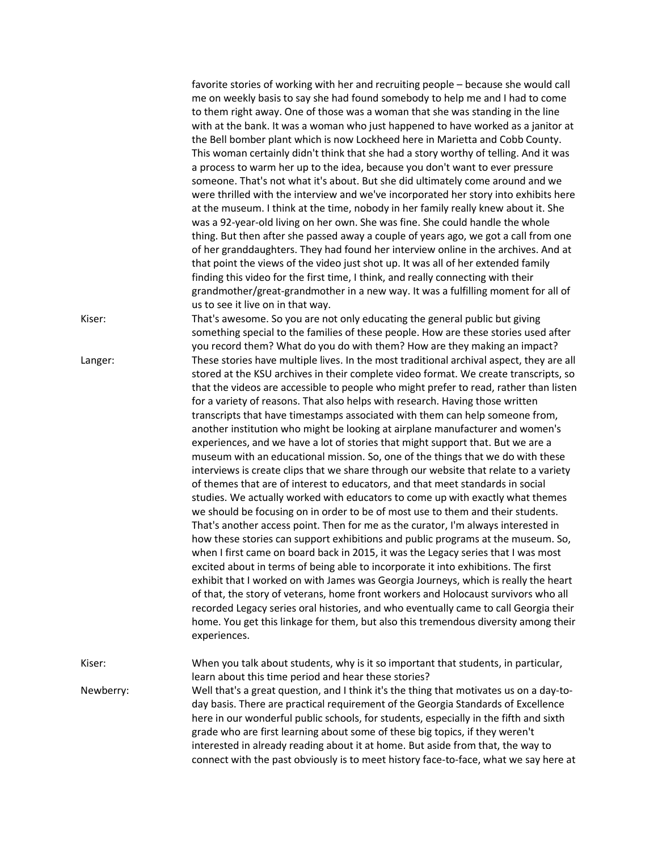|           | favorite stories of working with her and recruiting people – because she would call<br>me on weekly basis to say she had found somebody to help me and I had to come<br>to them right away. One of those was a woman that she was standing in the line<br>with at the bank. It was a woman who just happened to have worked as a janitor at<br>the Bell bomber plant which is now Lockheed here in Marietta and Cobb County.<br>This woman certainly didn't think that she had a story worthy of telling. And it was<br>a process to warm her up to the idea, because you don't want to ever pressure<br>someone. That's not what it's about. But she did ultimately come around and we<br>were thrilled with the interview and we've incorporated her story into exhibits here<br>at the museum. I think at the time, nobody in her family really knew about it. She<br>was a 92-year-old living on her own. She was fine. She could handle the whole<br>thing. But then after she passed away a couple of years ago, we got a call from one<br>of her granddaughters. They had found her interview online in the archives. And at<br>that point the views of the video just shot up. It was all of her extended family<br>finding this video for the first time, I think, and really connecting with their<br>grandmother/great-grandmother in a new way. It was a fulfilling moment for all of<br>us to see it live on in that way.                                                                                                                                                                                                                                                                                                                                                                                                                         |
|-----------|----------------------------------------------------------------------------------------------------------------------------------------------------------------------------------------------------------------------------------------------------------------------------------------------------------------------------------------------------------------------------------------------------------------------------------------------------------------------------------------------------------------------------------------------------------------------------------------------------------------------------------------------------------------------------------------------------------------------------------------------------------------------------------------------------------------------------------------------------------------------------------------------------------------------------------------------------------------------------------------------------------------------------------------------------------------------------------------------------------------------------------------------------------------------------------------------------------------------------------------------------------------------------------------------------------------------------------------------------------------------------------------------------------------------------------------------------------------------------------------------------------------------------------------------------------------------------------------------------------------------------------------------------------------------------------------------------------------------------------------------------------------------------------------------------------------------------------------------------------------|
| Kiser:    | That's awesome. So you are not only educating the general public but giving<br>something special to the families of these people. How are these stories used after                                                                                                                                                                                                                                                                                                                                                                                                                                                                                                                                                                                                                                                                                                                                                                                                                                                                                                                                                                                                                                                                                                                                                                                                                                                                                                                                                                                                                                                                                                                                                                                                                                                                                             |
| Langer:   | you record them? What do you do with them? How are they making an impact?<br>These stories have multiple lives. In the most traditional archival aspect, they are all<br>stored at the KSU archives in their complete video format. We create transcripts, so<br>that the videos are accessible to people who might prefer to read, rather than listen<br>for a variety of reasons. That also helps with research. Having those written<br>transcripts that have timestamps associated with them can help someone from,<br>another institution who might be looking at airplane manufacturer and women's<br>experiences, and we have a lot of stories that might support that. But we are a<br>museum with an educational mission. So, one of the things that we do with these<br>interviews is create clips that we share through our website that relate to a variety<br>of themes that are of interest to educators, and that meet standards in social<br>studies. We actually worked with educators to come up with exactly what themes<br>we should be focusing on in order to be of most use to them and their students.<br>That's another access point. Then for me as the curator, I'm always interested in<br>how these stories can support exhibitions and public programs at the museum. So,<br>when I first came on board back in 2015, it was the Legacy series that I was most<br>excited about in terms of being able to incorporate it into exhibitions. The first<br>exhibit that I worked on with James was Georgia Journeys, which is really the heart<br>of that, the story of veterans, home front workers and Holocaust survivors who all<br>recorded Legacy series oral histories, and who eventually came to call Georgia their<br>home. You get this linkage for them, but also this tremendous diversity among their<br>experiences. |
| Kiser:    | When you talk about students, why is it so important that students, in particular,<br>learn about this time period and hear these stories?                                                                                                                                                                                                                                                                                                                                                                                                                                                                                                                                                                                                                                                                                                                                                                                                                                                                                                                                                                                                                                                                                                                                                                                                                                                                                                                                                                                                                                                                                                                                                                                                                                                                                                                     |
| Newberry: | Well that's a great question, and I think it's the thing that motivates us on a day-to-<br>day basis. There are practical requirement of the Georgia Standards of Excellence<br>here in our wonderful public schools, for students, especially in the fifth and sixth<br>grade who are first learning about some of these big topics, if they weren't<br>interested in already reading about it at home. But aside from that, the way to<br>connect with the past obviously is to meet history face-to-face, what we say here at                                                                                                                                                                                                                                                                                                                                                                                                                                                                                                                                                                                                                                                                                                                                                                                                                                                                                                                                                                                                                                                                                                                                                                                                                                                                                                                               |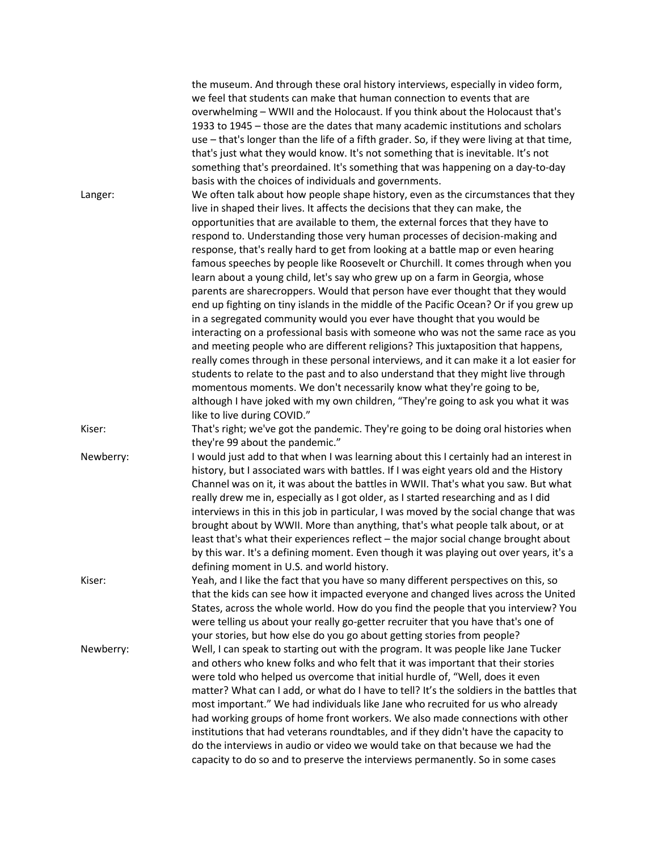|           | the museum. And through these oral history interviews, especially in video form,<br>we feel that students can make that human connection to events that are<br>overwhelming - WWII and the Holocaust. If you think about the Holocaust that's<br>1933 to 1945 - those are the dates that many academic institutions and scholars<br>use - that's longer than the life of a fifth grader. So, if they were living at that time,<br>that's just what they would know. It's not something that is inevitable. It's not<br>something that's preordained. It's something that was happening on a day-to-day<br>basis with the choices of individuals and governments.                                                                                                                                                                                                                                                                                                                                                                                                                                                                                                                                                                                                                                                                                                                                         |
|-----------|----------------------------------------------------------------------------------------------------------------------------------------------------------------------------------------------------------------------------------------------------------------------------------------------------------------------------------------------------------------------------------------------------------------------------------------------------------------------------------------------------------------------------------------------------------------------------------------------------------------------------------------------------------------------------------------------------------------------------------------------------------------------------------------------------------------------------------------------------------------------------------------------------------------------------------------------------------------------------------------------------------------------------------------------------------------------------------------------------------------------------------------------------------------------------------------------------------------------------------------------------------------------------------------------------------------------------------------------------------------------------------------------------------|
| Langer:   | We often talk about how people shape history, even as the circumstances that they<br>live in shaped their lives. It affects the decisions that they can make, the<br>opportunities that are available to them, the external forces that they have to<br>respond to. Understanding those very human processes of decision-making and<br>response, that's really hard to get from looking at a battle map or even hearing<br>famous speeches by people like Roosevelt or Churchill. It comes through when you<br>learn about a young child, let's say who grew up on a farm in Georgia, whose<br>parents are sharecroppers. Would that person have ever thought that they would<br>end up fighting on tiny islands in the middle of the Pacific Ocean? Or if you grew up<br>in a segregated community would you ever have thought that you would be<br>interacting on a professional basis with someone who was not the same race as you<br>and meeting people who are different religions? This juxtaposition that happens,<br>really comes through in these personal interviews, and it can make it a lot easier for<br>students to relate to the past and to also understand that they might live through<br>momentous moments. We don't necessarily know what they're going to be,<br>although I have joked with my own children, "They're going to ask you what it was<br>like to live during COVID." |
| Kiser:    | That's right; we've got the pandemic. They're going to be doing oral histories when<br>they're 99 about the pandemic."                                                                                                                                                                                                                                                                                                                                                                                                                                                                                                                                                                                                                                                                                                                                                                                                                                                                                                                                                                                                                                                                                                                                                                                                                                                                                   |
| Newberry: | I would just add to that when I was learning about this I certainly had an interest in<br>history, but I associated wars with battles. If I was eight years old and the History<br>Channel was on it, it was about the battles in WWII. That's what you saw. But what<br>really drew me in, especially as I got older, as I started researching and as I did<br>interviews in this in this job in particular, I was moved by the social change that was<br>brought about by WWII. More than anything, that's what people talk about, or at<br>least that's what their experiences reflect - the major social change brought about<br>by this war. It's a defining moment. Even though it was playing out over years, it's a<br>defining moment in U.S. and world history.                                                                                                                                                                                                                                                                                                                                                                                                                                                                                                                                                                                                                                |
| Kiser:    | Yeah, and I like the fact that you have so many different perspectives on this, so<br>that the kids can see how it impacted everyone and changed lives across the United<br>States, across the whole world. How do you find the people that you interview? You<br>were telling us about your really go-getter recruiter that you have that's one of<br>your stories, but how else do you go about getting stories from people?                                                                                                                                                                                                                                                                                                                                                                                                                                                                                                                                                                                                                                                                                                                                                                                                                                                                                                                                                                           |
| Newberry: | Well, I can speak to starting out with the program. It was people like Jane Tucker<br>and others who knew folks and who felt that it was important that their stories<br>were told who helped us overcome that initial hurdle of, "Well, does it even<br>matter? What can I add, or what do I have to tell? It's the soldiers in the battles that<br>most important." We had individuals like Jane who recruited for us who already<br>had working groups of home front workers. We also made connections with other<br>institutions that had veterans roundtables, and if they didn't have the capacity to<br>do the interviews in audio or video we would take on that because we had the<br>capacity to do so and to preserve the interviews permanently. So in some cases                                                                                                                                                                                                                                                                                                                                                                                                                                                                                                                                                                                                                            |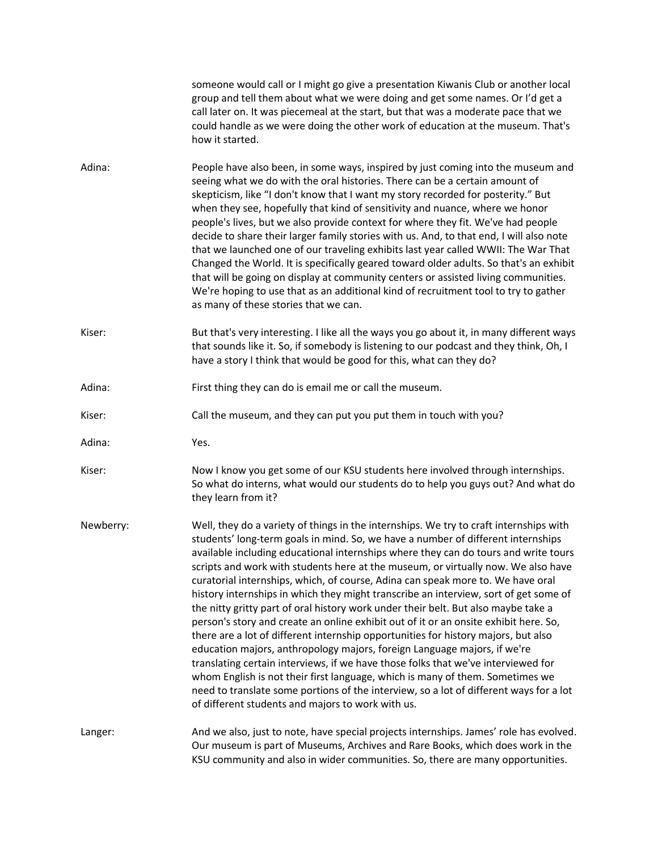|           | someone would call or I might go give a presentation Kiwanis Club or another local<br>group and tell them about what we were doing and get some names. Or I'd get a<br>call later on. It was piecemeal at the start, but that was a moderate pace that we<br>could handle as we were doing the other work of education at the museum. That's<br>how it started.                                                                                                                                                                                                                                                                                                                                                                                                                                                                                                                                                                                                                                                                                                                                                                                                                                        |
|-----------|--------------------------------------------------------------------------------------------------------------------------------------------------------------------------------------------------------------------------------------------------------------------------------------------------------------------------------------------------------------------------------------------------------------------------------------------------------------------------------------------------------------------------------------------------------------------------------------------------------------------------------------------------------------------------------------------------------------------------------------------------------------------------------------------------------------------------------------------------------------------------------------------------------------------------------------------------------------------------------------------------------------------------------------------------------------------------------------------------------------------------------------------------------------------------------------------------------|
| Adina:    | People have also been, in some ways, inspired by just coming into the museum and<br>seeing what we do with the oral histories. There can be a certain amount of<br>skepticism, like "I don't know that I want my story recorded for posterity." But<br>when they see, hopefully that kind of sensitivity and nuance, where we honor<br>people's lives, but we also provide context for where they fit. We've had people<br>decide to share their larger family stories with us. And, to that end, I will also note<br>that we launched one of our traveling exhibits last year called WWII: The War That<br>Changed the World. It is specifically geared toward older adults. So that's an exhibit<br>that will be going on display at community centers or assisted living communities.<br>We're hoping to use that as an additional kind of recruitment tool to try to gather<br>as many of these stories that we can.                                                                                                                                                                                                                                                                               |
| Kiser:    | But that's very interesting. I like all the ways you go about it, in many different ways<br>that sounds like it. So, if somebody is listening to our podcast and they think, Oh, I<br>have a story I think that would be good for this, what can they do?                                                                                                                                                                                                                                                                                                                                                                                                                                                                                                                                                                                                                                                                                                                                                                                                                                                                                                                                              |
| Adina:    | First thing they can do is email me or call the museum.                                                                                                                                                                                                                                                                                                                                                                                                                                                                                                                                                                                                                                                                                                                                                                                                                                                                                                                                                                                                                                                                                                                                                |
| Kiser:    | Call the museum, and they can put you put them in touch with you?                                                                                                                                                                                                                                                                                                                                                                                                                                                                                                                                                                                                                                                                                                                                                                                                                                                                                                                                                                                                                                                                                                                                      |
| Adina:    | Yes.                                                                                                                                                                                                                                                                                                                                                                                                                                                                                                                                                                                                                                                                                                                                                                                                                                                                                                                                                                                                                                                                                                                                                                                                   |
| Kiser:    | Now I know you get some of our KSU students here involved through internships.<br>So what do interns, what would our students do to help you guys out? And what do<br>they learn from it?                                                                                                                                                                                                                                                                                                                                                                                                                                                                                                                                                                                                                                                                                                                                                                                                                                                                                                                                                                                                              |
| Newberry: | Well, they do a variety of things in the internships. We try to craft internships with<br>students' long-term goals in mind. So, we have a number of different internships<br>available including educational internships where they can do tours and write tours<br>scripts and work with students here at the museum, or virtually now. We also have<br>curatorial internships, which, of course, Adina can speak more to. We have oral<br>history internships in which they might transcribe an interview, sort of get some of<br>the nitty gritty part of oral history work under their belt. But also maybe take a<br>person's story and create an online exhibit out of it or an onsite exhibit here. So,<br>there are a lot of different internship opportunities for history majors, but also<br>education majors, anthropology majors, foreign Language majors, if we're<br>translating certain interviews, if we have those folks that we've interviewed for<br>whom English is not their first language, which is many of them. Sometimes we<br>need to translate some portions of the interview, so a lot of different ways for a lot<br>of different students and majors to work with us. |
| Langer:   | And we also, just to note, have special projects internships. James' role has evolved.<br>Our museum is part of Museums, Archives and Rare Books, which does work in the<br>KSU community and also in wider communities. So, there are many opportunities.                                                                                                                                                                                                                                                                                                                                                                                                                                                                                                                                                                                                                                                                                                                                                                                                                                                                                                                                             |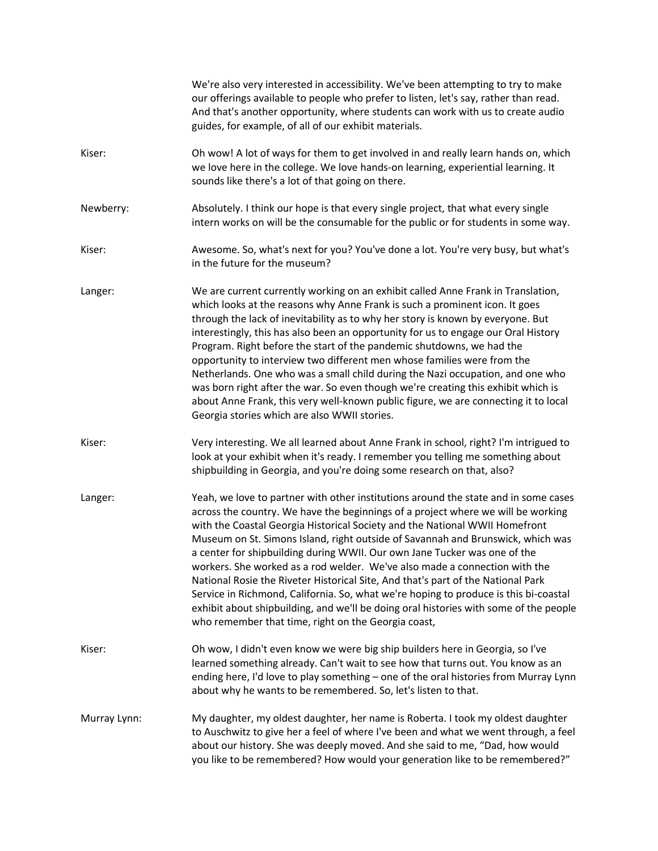|              | We're also very interested in accessibility. We've been attempting to try to make<br>our offerings available to people who prefer to listen, let's say, rather than read.<br>And that's another opportunity, where students can work with us to create audio<br>guides, for example, of all of our exhibit materials.                                                                                                                                                                                                                                                                                                                                                                                                                                                                                                            |
|--------------|----------------------------------------------------------------------------------------------------------------------------------------------------------------------------------------------------------------------------------------------------------------------------------------------------------------------------------------------------------------------------------------------------------------------------------------------------------------------------------------------------------------------------------------------------------------------------------------------------------------------------------------------------------------------------------------------------------------------------------------------------------------------------------------------------------------------------------|
| Kiser:       | Oh wow! A lot of ways for them to get involved in and really learn hands on, which<br>we love here in the college. We love hands-on learning, experiential learning. It<br>sounds like there's a lot of that going on there.                                                                                                                                                                                                                                                                                                                                                                                                                                                                                                                                                                                                     |
| Newberry:    | Absolutely. I think our hope is that every single project, that what every single<br>intern works on will be the consumable for the public or for students in some way.                                                                                                                                                                                                                                                                                                                                                                                                                                                                                                                                                                                                                                                          |
| Kiser:       | Awesome. So, what's next for you? You've done a lot. You're very busy, but what's<br>in the future for the museum?                                                                                                                                                                                                                                                                                                                                                                                                                                                                                                                                                                                                                                                                                                               |
| Langer:      | We are current currently working on an exhibit called Anne Frank in Translation,<br>which looks at the reasons why Anne Frank is such a prominent icon. It goes<br>through the lack of inevitability as to why her story is known by everyone. But<br>interestingly, this has also been an opportunity for us to engage our Oral History<br>Program. Right before the start of the pandemic shutdowns, we had the<br>opportunity to interview two different men whose families were from the<br>Netherlands. One who was a small child during the Nazi occupation, and one who<br>was born right after the war. So even though we're creating this exhibit which is<br>about Anne Frank, this very well-known public figure, we are connecting it to local<br>Georgia stories which are also WWII stories.                       |
| Kiser:       | Very interesting. We all learned about Anne Frank in school, right? I'm intrigued to<br>look at your exhibit when it's ready. I remember you telling me something about<br>shipbuilding in Georgia, and you're doing some research on that, also?                                                                                                                                                                                                                                                                                                                                                                                                                                                                                                                                                                                |
| Langer:      | Yeah, we love to partner with other institutions around the state and in some cases<br>across the country. We have the beginnings of a project where we will be working<br>with the Coastal Georgia Historical Society and the National WWII Homefront<br>Museum on St. Simons Island, right outside of Savannah and Brunswick, which was<br>a center for shipbuilding during WWII. Our own Jane Tucker was one of the<br>workers. She worked as a rod welder. We've also made a connection with the<br>National Rosie the Riveter Historical Site, And that's part of the National Park<br>Service in Richmond, California. So, what we're hoping to produce is this bi-coastal<br>exhibit about shipbuilding, and we'll be doing oral histories with some of the people<br>who remember that time, right on the Georgia coast, |
| Kiser:       | Oh wow, I didn't even know we were big ship builders here in Georgia, so I've<br>learned something already. Can't wait to see how that turns out. You know as an<br>ending here, I'd love to play something - one of the oral histories from Murray Lynn<br>about why he wants to be remembered. So, let's listen to that.                                                                                                                                                                                                                                                                                                                                                                                                                                                                                                       |
| Murray Lynn: | My daughter, my oldest daughter, her name is Roberta. I took my oldest daughter<br>to Auschwitz to give her a feel of where I've been and what we went through, a feel<br>about our history. She was deeply moved. And she said to me, "Dad, how would<br>you like to be remembered? How would your generation like to be remembered?"                                                                                                                                                                                                                                                                                                                                                                                                                                                                                           |